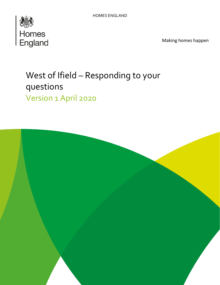

Making homes happen

# West of Ifield – Responding to your questions Version 1 April 2020

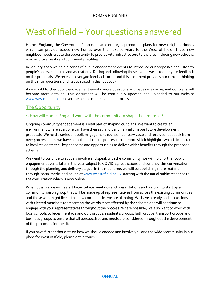# West of Ifield – Your questions answered

Homes England, the Government's housing accelerator, is promoting plans for new neighbourhoods which can provide 10,000 new homes over the next 30 years to the West of Ifield. These new neighbourhoods create the opportunity to provide vital infrastructure to the area including new schools, road improvements and community facilities.

In January 2020 we held a series of public engagement events to introduce our proposals and listen to people's ideas, concerns and aspirations. During and following these events we asked for your feedback on the proposals. We received over 500 feedback forms and this document provides our current thinking on the main questions and issues raised in this feedback.

As we hold further public engagement events, more questions and issues may arise, and our plans will become more detailed. This document will be continually updated and uploaded to our website [www.westofifield.co.uk](http://www.westofifield.co.uk/) over the course of the planning process.

# The Opportunity

## 1. How will Homes England work with the community to shape the proposals?

Ongoing community engagement is a vital part of shaping our plans. We want to create an environment where everyone can have their say and genuinely inform our future development proposals. We held a series of public engagement events in January 2020 and received feedback from over 500 residents, we have compiled all the responses into a report which highlights what is important to local residents the key concerns and opportunities to deliver wider benefits through the proposed scheme.

We want to continue to actively involve and speak with the community; we will hold further public engagement events later in the year subject to COVID-19 restrictions and continue this conversation through the planning and delivery stages. In the meantime, we will be publishing more material through social media and online a[t www.wesstofield.co.uk](http://www.wesstofield.co.uk/) starting with the initial public response to the consultation which is now online.

When possible we will restart face-to-face meetings and presentations and we plan to start up a community liaison group that will be made up of representatives from across the existing communities and those who might live in the new communities we are planning. We have already had discussions with elected members representing the wards most affected by the scheme and will continue to engage with your representatives throughout the process. Where possible, we also want to work with local schools/colleges, heritage and civic groups, resident's groups, faith groups, transport groups and business groups to ensure that all perspectives and needs are considered throughout the development of the proposals for the site.

If you have further thoughts on how we should engage and involve you and the wider community in our plans for West of Ifield, please get in touch.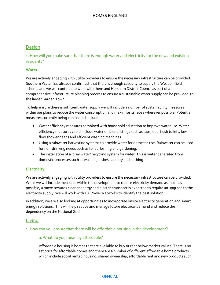# **Design**

1. How will you make sure that there is enough water and electricity for the new and existing residents?

## **Water**

We are actively engaging with utility providers to ensure the necessary infrastructure can be provided. Southern Water has already confirmed that there is enough capacity to supply the West of Ifield scheme and we will continue to work with them and Horsham District Council as part of a comprehensive infrastructure planning process to ensure a sustainable water supply can be provided to the larger Garden Town.

To help ensure there is sufficient water supply we will include a number of sustainability measures within our plans to reduce the water consumption and maximise its reuse wherever possible. Potential measures currently being considered include:

- Water efficiency measures combined with household education to improve water use. Water efficiency measures could include water efficient fittings such as taps, dual flush toilets, low flow shower heads and efficient washing machines.
- Using a rainwater harvesting systems to provide water for domestic use. Rainwater can be used for non-drinking needs such as toilet flushing and gardening.
- The installation of a 'grey water' recycling system for water. This is water generated from domestic processes such as washing dishes, laundry and bathing.

# **Electricity**

We are actively engaging with utility providers to ensure the necessary infrastructure can be provided. While we will include measures within the development to reduce electricity demand as much as possible, a move towards cleaner energy and electric transport is expected to require an upgrade to the electricity supply. We will work with UK Power Networks to identify the best solution.

In addition, we are also looking at opportunities to incorporate onsite electricity generation and smart energy solutions. This will help reduce and manage future electrical demand and reduce the dependency on the National Grid.

# **Living**

## 1. How can you ensure that there will be affordable housing in the development?

## a. What do you mean by affordable?

Affordable housing is homes that are available to buy or rent below market values. There is no set price for affordable homes and there are a number of different affordable home products, which include social rented housing, shared ownership, affordable rent and new products such

#### **OFFICIAL**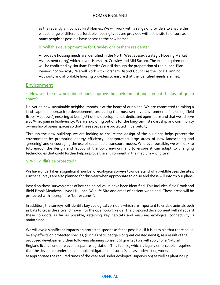as the recently announced First Homes. We will work with a range of providers to ensure the widest range of different affordable housing types are provided within the site to ensure as many people as possible have access to the new homes.

## b. Will this development be for Crawley or Horsham residents?

Affordable housing needs are identified in the North West Sussex Strategic Housing Market Assessment (2019) which covers Horsham, Crawley and Mid Sussex. The exact requirements will be confirmed by Horsham District Council through the preparation of their Local Plan Review (2020 – 2036). We will work with Horsham District Council as the Local Planning Authority and affordable housing providers to ensure that the identified needs are met.

## Environment

## 1. How will the new neighbourhoods improve the environment and combat the loss of green space?

Delivering new sustainable neighbourhoods is at the heart of our plans. We are committed to taking a landscape led approach to development, protecting the most sensitive environments (including Ifield Brook Meadows), ensuring at least 50% of the development is dedicated open space and that we achieve a 10% net gain in biodiversity. We are exploring options for the long-term stewardship and community ownership of opens spaces so that these spaces are protected in perpetuity.

Through the new buildings we are looking to ensure the design of the buildings helps protect the environment by promoting energy efficiency, incorporating large areas of new landscaping and 'greening' and encouraging the use of sustainable transport modes. Wherever possible, we will look to futureproof the design and layout of the built environment to ensure it can adapt to changing technologies that could further help improve the environment in the medium – long term.

#### 2. Will wildlife be protected?

We have undertaken a significant number of ecological surveys to understand what wildlife uses the sites. Further surveys are also planned for this year when appropriate to do so and these will inform our plans.

Based on these surveys areas of key ecological value have been identified. This includes Ifield Brook and Ifield Brook Meadows, Hyde Hill Local Wildlife Site and areas of ancient woodland. These areas will be protected with appropriate "buffer zones".

In addition, the surveys will identify key ecological corridors which are important to enable animals such as bats to cross the site and move into the open countryside. The proposed development will safeguard these corridors as far as possible, retaining key habitats and ensuring ecological connectivity is maintained.

We will avoid significant impacts on protected species as far as possible. If it is possible that there could be any effects on protected species, (such as bats, badgers or great crested newts), as a result of the proposed development, then following planning consent (if granted) we will apply for a Natural England licence under relevant separate legislation. This licence, which is legally enforceable, requires that the developer undertakes suitable mitigation measures (such as undertaking works at appropriate the required times of the year and under ecological supervision) as well as planting up

#### **OFFICIAL**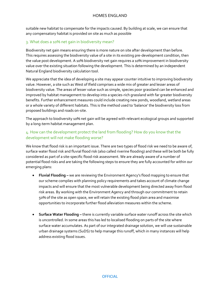suitable new habitat to compensate for the impacts caused. By building at scale, we can ensure that any compensatory habitat is provided on site as much as possible

## 3. What does a 10% net gain in biodiversity mean?

Biodiversity net gain means ensuring there is more nature on site after development than before. This requires assessing the biodiversity value of a site in its existing pre-development condition, then the value post development. A 10% biodiversity net gain requires a 10% improvement in biodiversity value over the existing situation following the development. This is determined by an independent Natural England biodiversity calculation tool.

We appreciate that the idea of developing a site may appear counter intuitive to improving biodiversity value. However, a site such as West of Ifield comprises a wide mix of greater and lesser areas of biodiversity value. The areas of lesser value such as simple, species poor grassland can be enhanced and improved by habitat management to develop into a species-rich grassland with far greater biodiversity benefits. Further enhancement measures could include creating new ponds, woodland, wetland areas or a whole variety of different habitats. This is the method used to 'balance' the biodiversity loss from proposed buildings and roads on-site.

The approach to biodiversity 10% net gain will be agreed with relevant ecological groups and supported by a long-term habitat management plan.

# 4. How can the development protect the land from flooding? How do you know that the development will not make flooding worse?

We know that flood risk is an important issue. There are two types of flood risk we need to be aware of, surface water flood risk and fluvial flood risk (also called riverine flooding) and these will be both be fully considered as part of a site-specific flood risk assessment. We are already aware of a number of potential flood risks and are taking the following steps to ensure they are fully accounted for within our emerging plans:

- **Fluvial Flooding –** we are reviewing the Environment Agency's flood mapping to ensure that our scheme complies with planning policy requirements and takes account of climate change impacts and will ensure that the most vulnerable development being directed away from flood risk areas. By working with the Environment Agency and through our commitment to retain 50% of the site as open space, we will retain the existing flood plain area and maximise opportunities to incorporate further flood alleviation measures within the scheme.
- **Surface Water Flooding -** there is currently variable surface water runoff across the site which is uncontrolled. In some areas this has led to localised flooding on parts of the site where surface water accumulates. As part of our integrated drainage solution, we will use sustainable urban drainage systems (SuDS) to help manage this runoff, which in many instances will help address existing flood issues.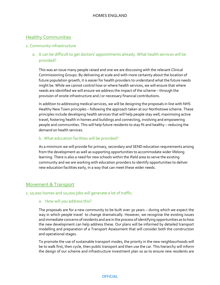# **Healthy Communities**

#### 1. Community infrastructure

# a. It can be difficult to get doctors' appointments already. What health services will be provided?

This was an issue many people raised and one we are discussing with the relevant Clinical Commissioning Groups. By delivering at scale and with more certainty about the location of future population growth, it is easier for health providers to understand what the future needs might be. While we cannot control how or where health services, we will ensure that where needs are identified we will ensure we address the impact of the scheme – through the provision of onsite infrastructure and / or necessary financial contributions.

In addition to addressing medical services, we will be designing the proposals in line with NHS Healthy New Town principles – following the approach taken at our Northstowe scheme. These principles include developing health services that will help people stay well, maximising active travel, fostering health in homes and buildings and connecting, involving and empowering people and communities. This will help future residents to stay fit and healthy – reducing the demand on health services.

#### b. What education facilities will be provided?

As a minimum we will provide for primary, secondary and SEND education requirements arising from the development as well as supporting opportunities to accommodate wider lifelong learning. There is also a need for new schools within the Ifield area to serve the existing community and we are working with education providers to identify opportunities to deliver new education facilities early, in a way that can meet these wider needs.

# Movement & Transport

#### 1. 10,000 homes and 10,000 jobs will generate a lot of traffic.

#### a. How will you address this?

The proposals are for a new community to be built over 30 years – during which we expect the way in which people travel to change dramatically. However, we recognise the existing issues and immediate concerns of residents and are in the process of identifying opportunities as to how the new development can help address these. Our plans will be informed by detailed transport modelling and preparation of a Transport Assessment that will consider both the construction and operational stages.

To promote the use of sustainable transport modes, the priority in the new neighbourhoods will be to walk first, then cycle, then public transport and then use the car. This hierarchy will inform the design of our scheme and infrastructure investment plan so as to ensure new residents are

#### **OFFICIAL**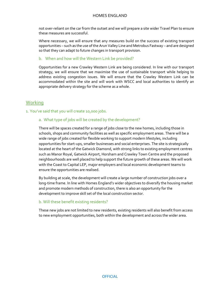not over-reliant on the car from the outset and we will prepare a site wider Travel Plan to ensure these measures are successful.

Where necessary, we will ensure that any measures build on the success of existing transport opportunities – such as the use of the Arun Valley Line and Metrobus Fastway – and are designed so that they can adapt to future changes in transport provision.

b. When and how will the Western Link be provided?

Opportunities for a new Crawley Western Link are being considered. In line with our transport strategy, we will ensure that we maximise the use of sustainable transport while helping to address existing congestion issues. We will ensure that the Crawley Western Link can be accommodated within the site and will work with WSCC and local authorities to identify an appropriate delivery strategy for the scheme as a whole.

# **Working**

1. You've said that you will create 10,000 jobs.

## a. What type of jobs will be created by the development?

There will be spaces created for a range of jobs close to the new homes, including those in schools, shops and community facilities as well as specific employment areas. There will be a wide range of jobs created for flexible working to support modern lifestyles, including opportunities for start-ups, smaller businesses and social enterprises. The site is strategically located at the heart of the Gatwick Diamond, with strong links to existing employment centres such as Manor Royal, Gatwick Airport, Horsham and Crawley Town Centre and the proposed neighbourhoods are well placed to help support the future growth of these areas. We will work with the Coast to Capital LEP, major employers and local economic development teams to ensure the opportunities are realised.

By building at scale, the development will create a large number of construction jobs over a long-time frame. In line with Homes England's wider objectives to diversify the housing market and promote modern methods of construction, there is also an opportunity for the development to improve skill set of the local construction sector.

#### b. Will these benefit existing residents?

These new jobs are not limited to new residents, existing residents will also benefit from access to new employment opportunities, both within the development and across the wider area.